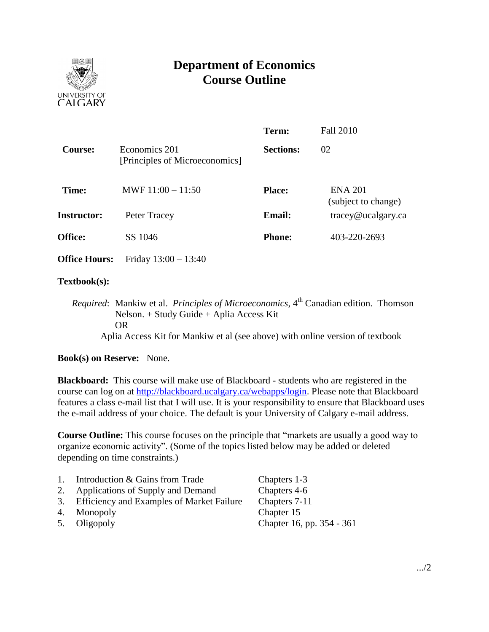

# **Department of Economics Course Outline**

|                      |                                                 | Term:            | <b>Fall 2010</b>                      |
|----------------------|-------------------------------------------------|------------------|---------------------------------------|
| <b>Course:</b>       | Economics 201<br>[Principles of Microeconomics] | <b>Sections:</b> | 02                                    |
| Time:                | MWF $11:00 - 11:50$                             | <b>Place:</b>    | <b>ENA 201</b><br>(subject to change) |
| <b>Instructor:</b>   | Peter Tracey                                    | <b>Email:</b>    | $trace\sqrt{\omega}$ ucalgary.ca      |
| <b>Office:</b>       | SS 1046                                         | <b>Phone:</b>    | 403-220-2693                          |
| <b>Office Hours:</b> | Friday $13:00 - 13:40$                          |                  |                                       |

## **Textbook(s):**

*Required*: Mankiw et al. *Principles of Microeconomics*, 4<sup>th</sup> Canadian edition. Thomson Nelson. + Study Guide + Aplia Access Kit OR Aplia Access Kit for Mankiw et al (see above) with online version of textbook

## **Book(s) on Reserve:** None.

**Blackboard:** This course will make use of Blackboard - students who are registered in the course can log on at [http://blackboard.ucalgary.ca/webapps/login.](http://blackboard.ucalgary.ca/webapps/login) Please note that Blackboard features a class e-mail list that I will use. It is your responsibility to ensure that Blackboard uses the e-mail address of your choice. The default is your University of Calgary e-mail address.

**Course Outline:** This course focuses on the principle that "markets are usually a good way to organize economic activity". (Some of the topics listed below may be added or deleted depending on time constraints.)

| 1. | Introduction & Gains from Trade              | Chapters 1-3              |
|----|----------------------------------------------|---------------------------|
|    | 2. Applications of Supply and Demand         | Chapters 4-6              |
|    | 3. Efficiency and Examples of Market Failure | Chapters 7-11             |
|    | 4. Monopoly                                  | Chapter 15                |
|    | 5. Oligopoly                                 | Chapter 16, pp. 354 - 361 |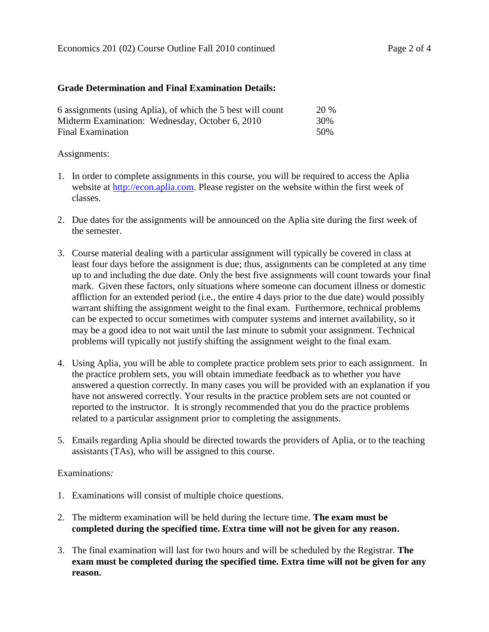### **Grade Determination and Final Examination Details:**

| 6 assignments (using Aplia), of which the 5 best will count | <b>20 %</b> |
|-------------------------------------------------------------|-------------|
| Midterm Examination: Wednesday, October 6, 2010             | 30%         |
| Final Examination                                           | 50%         |

### Assignments:

- 1. In order to complete assignments in this course, you will be required to access the Aplia website at [http://econ.aplia.com.](http://econ.aplia.com/) Please register on the website within the first week of classes.
- 2. Due dates for the assignments will be announced on the Aplia site during the first week of the semester.
- 3. Course material dealing with a particular assignment will typically be covered in class at least four days before the assignment is due; thus, assignments can be completed at any time up to and including the due date. Only the best five assignments will count towards your final mark. Given these factors, only situations where someone can document illness or domestic affliction for an extended period (i.e., the entire 4 days prior to the due date) would possibly warrant shifting the assignment weight to the final exam. Furthermore, technical problems can be expected to occur sometimes with computer systems and internet availability, so it may be a good idea to not wait until the last minute to submit your assignment. Technical problems will typically not justify shifting the assignment weight to the final exam.
- 4. Using Aplia, you will be able to complete practice problem sets prior to each assignment. In the practice problem sets, you will obtain immediate feedback as to whether you have answered a question correctly. In many cases you will be provided with an explanation if you have not answered correctly. Your results in the practice problem sets are not counted or reported to the instructor. It is strongly recommended that you do the practice problems related to a particular assignment prior to completing the assignments.
- 5. Emails regarding Aplia should be directed towards the providers of Aplia, or to the teaching assistants (TAs), who will be assigned to this course.

#### Examinations*:*

- 1. Examinations will consist of multiple choice questions.
- 2. The midterm examination will be held during the lecture time. **The exam must be completed during the specified time. Extra time will not be given for any reason.**
- 3. The final examination will last for two hours and will be scheduled by the Registrar. **The exam must be completed during the specified time. Extra time will not be given for any reason.**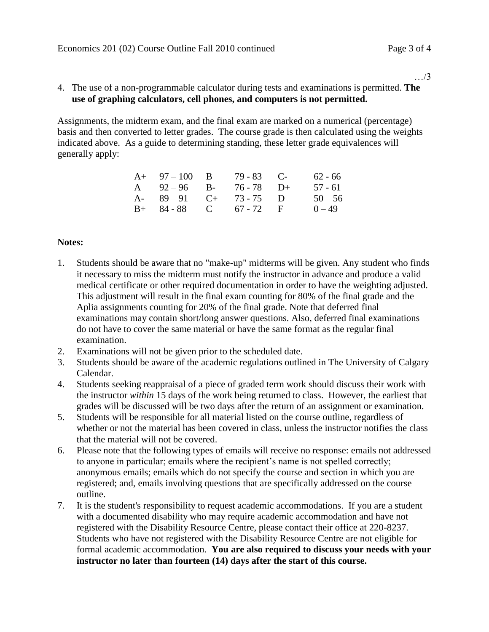…/3

## 4. The use of a non-programmable calculator during tests and examinations is permitted. **The use of graphing calculators, cell phones, and computers is not permitted.**

Assignments, the midterm exam, and the final exam are marked on a numerical (percentage) basis and then converted to letter grades. The course grade is then calculated using the weights indicated above. As a guide to determining standing, these letter grade equivalences will generally apply:

| $A+ 97-100 B$           | $79 - 83$ C- | 62 - 66   |
|-------------------------|--------------|-----------|
| A $92-96$ B- $76-78$ D+ |              | 57 - 61   |
| A- $89-91$ C+ 73-75 D   |              | $50 - 56$ |
| $B+ 84-88$ C 67 - 72 F  |              | $0 - 49$  |

## **Notes:**

- 1. Students should be aware that no "make-up" midterms will be given. Any student who finds it necessary to miss the midterm must notify the instructor in advance and produce a valid medical certificate or other required documentation in order to have the weighting adjusted. This adjustment will result in the final exam counting for 80% of the final grade and the Aplia assignments counting for 20% of the final grade. Note that deferred final examinations may contain short/long answer questions. Also, deferred final examinations do not have to cover the same material or have the same format as the regular final examination.
- 2. Examinations will not be given prior to the scheduled date.
- 3. Students should be aware of the academic regulations outlined in The University of Calgary Calendar.
- 4. Students seeking reappraisal of a piece of graded term work should discuss their work with the instructor *within* 15 days of the work being returned to class. However, the earliest that grades will be discussed will be two days after the return of an assignment or examination.
- 5. Students will be responsible for all material listed on the course outline, regardless of whether or not the material has been covered in class, unless the instructor notifies the class that the material will not be covered.
- 6. Please note that the following types of emails will receive no response: emails not addressed to anyone in particular; emails where the recipient's name is not spelled correctly; anonymous emails; emails which do not specify the course and section in which you are registered; and, emails involving questions that are specifically addressed on the course outline.
- 7. It is the student's responsibility to request academic accommodations. If you are a student with a documented disability who may require academic accommodation and have not registered with the Disability Resource Centre, please contact their office at 220-8237. Students who have not registered with the Disability Resource Centre are not eligible for formal academic accommodation. **You are also required to discuss your needs with your instructor no later than fourteen (14) days after the start of this course.**